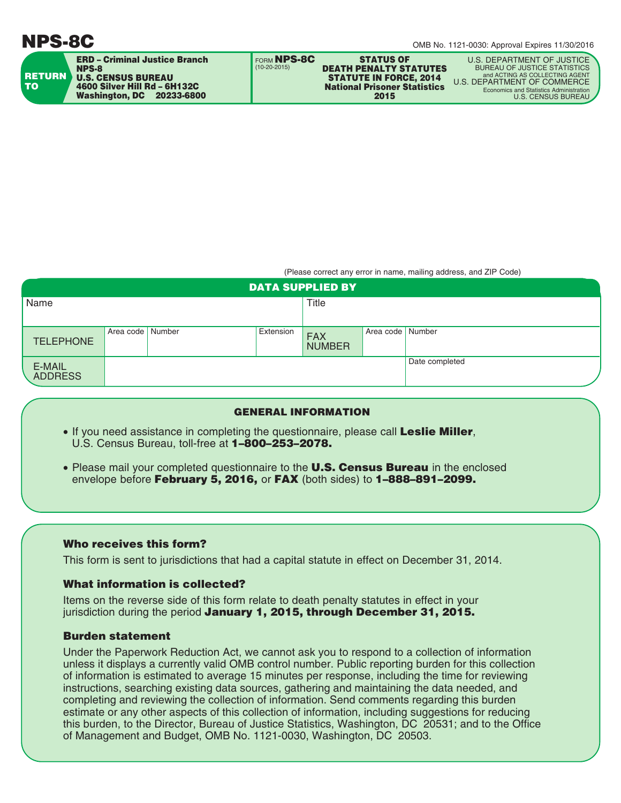# **NPS-8C**

|                            | <b>ERD - Criminal Justice Branch</b><br><b>NPS-8</b>                                          | I FORM NPS-8C<br>$(10-20-2015)$ | <b>STATUS OF</b><br><b>DEATH PENALTY STATUTES</b>                            | U.S. DEPARTMENT OF JUSTICE<br><b>BUREAU OF JUSTICE STATISTICS</b>                                                              |
|----------------------------|-----------------------------------------------------------------------------------------------|---------------------------------|------------------------------------------------------------------------------|--------------------------------------------------------------------------------------------------------------------------------|
| <b>RETURN</b><br><b>TO</b> | <b>U.S. CENSUS BUREAU</b><br>4600 Silver Hill Rd - 6H132C<br><b>Washington, DC 20233-6800</b> |                                 | <b>STATUTE IN FORCE, 2014</b><br><b>National Prisoner Statistics</b><br>2015 | and ACTING AS COLLECTING AGENT<br>U.S. DEPARTMENT OF COMMERCE<br>Economics and Statistics Administration<br>U.S. CENSUS BUREAU |
|                            |                                                                                               |                                 |                                                                              |                                                                                                                                |

(Please correct any error in name, mailing address, and ZIP Code)

| <b>DATA SUPPLIED BY</b>  |                    |  |           |                             |                    |                |  |  |
|--------------------------|--------------------|--|-----------|-----------------------------|--------------------|----------------|--|--|
| Name                     |                    |  | Title     |                             |                    |                |  |  |
|                          |                    |  |           |                             |                    |                |  |  |
| <b>TELEPHONE</b>         | Area code   Number |  | Extension | <b>FAX</b><br><b>NUMBER</b> | Area code   Number |                |  |  |
| E-MAIL<br><b>ADDRESS</b> |                    |  |           |                             |                    | Date completed |  |  |

### **GENERAL INFORMATION**

- If you need assistance in completing the questionnaire, please call **Leslie Miller**, U.S. Census Bureau, toll-free at **1–800–253–2078.**
- Please mail your completed questionnaire to the **U.S. Census Bureau** in the enclosed envelope before **February 5, 2016,** or **FAX** (both sides) to **1–888–891–2099.**

#### **Who receives this form?**

This form is sent to jurisdictions that had a capital statute in effect on December 31, 2014.

#### **What information is collected?**

Items on the reverse side of this form relate to death penalty statutes in effect in your jurisdiction during the period **January 1, 2015, through December 31, 2015.**

## **Burden statement**

Under the Paperwork Reduction Act, we cannot ask you to respond to a collection of information unless it displays a currently valid OMB control number. Public reporting burden for this collection of information is estimated to average 15 minutes per response, including the time for reviewing instructions, searching existing data sources, gathering and maintaining the data needed, and completing and reviewing the collection of information. Send comments regarding this burden estimate or any other aspects of this collection of information, including suggestions for reducing this burden, to the Director, Bureau of Justice Statistics, Washington, DC 20531; and to the Office of Management and Budget, OMB No. 1121-0030, Washington, DC 20503.